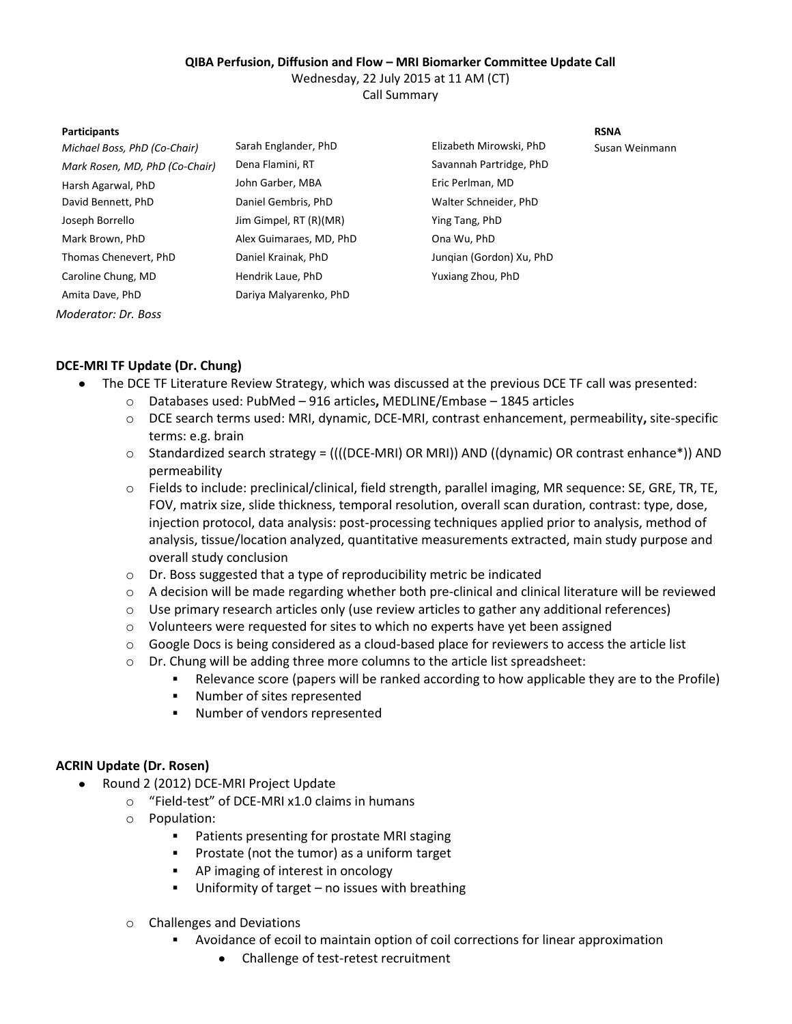## **QIBA Perfusion, Diffusion and Flow – MRI Biomarker Committee Update Call**

Wednesday, 22 July 2015 at 11 AM (CT)

Call Summary

### **Participants RSNA**

*Michael Boss, PhD (Co-Chair)* Sarah Englander, PhD **Elizabeth Mirowski, PhD** Susan Weinmann *Mark Rosen, MD, PhD (Co-Chair)* Dena Flamini, RT Savannah Partridge, PhD Harsh Agarwal, PhD John Garber, MBA Eric Perlman, MD David Bennett, PhD Daniel Gembris, PhD Walter Schneider, PhD Joseph Borrello Jim Gimpel, RT (R)(MR) Ying Tang, PhD Mark Brown, PhD **Alex Guimaraes, MD, PhD** Ona Wu, PhD Thomas Chenevert, PhD Daniel Krainak, PhD Junqian (Gordon) Xu, PhD Caroline Chung, MD Hendrik Laue, PhD Yuxiang Zhou, PhD Amita Dave, PhD Dariya Malyarenko, PhD *Moderator: Dr. Boss*

# **DCE-MRI TF Update (Dr. Chung)**

- The DCE TF Literature Review Strategy, which was discussed at the previous DCE TF call was presented:  $\bullet$ 
	- o Databases used: PubMed 916 articles**,** MEDLINE/Embase 1845 articles
	- o DCE search terms used: MRI, dynamic, DCE-MRI, contrast enhancement, permeability**,** site-specific terms: e.g. brain
	- o Standardized search strategy = ((((DCE-MRI) OR MRI)) AND ((dynamic) OR contrast enhance\*)) AND permeability
	- o Fields to include: preclinical/clinical, field strength, parallel imaging, MR sequence: SE, GRE, TR, TE, FOV, matrix size, slide thickness, temporal resolution, overall scan duration, contrast: type, dose, injection protocol, data analysis: post-processing techniques applied prior to analysis, method of analysis, tissue/location analyzed, quantitative measurements extracted, main study purpose and overall study conclusion
	- o Dr. Boss suggested that a type of reproducibility metric be indicated
	- $\circ$  A decision will be made regarding whether both pre-clinical and clinical literature will be reviewed
	- o Use primary research articles only (use review articles to gather any additional references)
	- o Volunteers were requested for sites to which no experts have yet been assigned
	- o Google Docs is being considered as a cloud-based place for reviewers to access the article list
	- o Dr. Chung will be adding three more columns to the article list spreadsheet:
		- Relevance score (papers will be ranked according to how applicable they are to the Profile)
			- Number of sites represented
		- Number of vendors represented

# **ACRIN Update (Dr. Rosen)**

- Round 2 (2012) DCE-MRI Project Update  $\bullet$ 
	- o "Field-test" of DCE-MRI x1.0 claims in humans
	- o Population:
		- **Patients presenting for prostate MRI staging**
		- Prostate (not the tumor) as a uniform target
		- AP imaging of interest in oncology
		- Uniformity of target no issues with breathing
	- o Challenges and Deviations
		- Avoidance of ecoil to maintain option of coil corrections for linear approximation
			- Challenge of test-retest recruitment